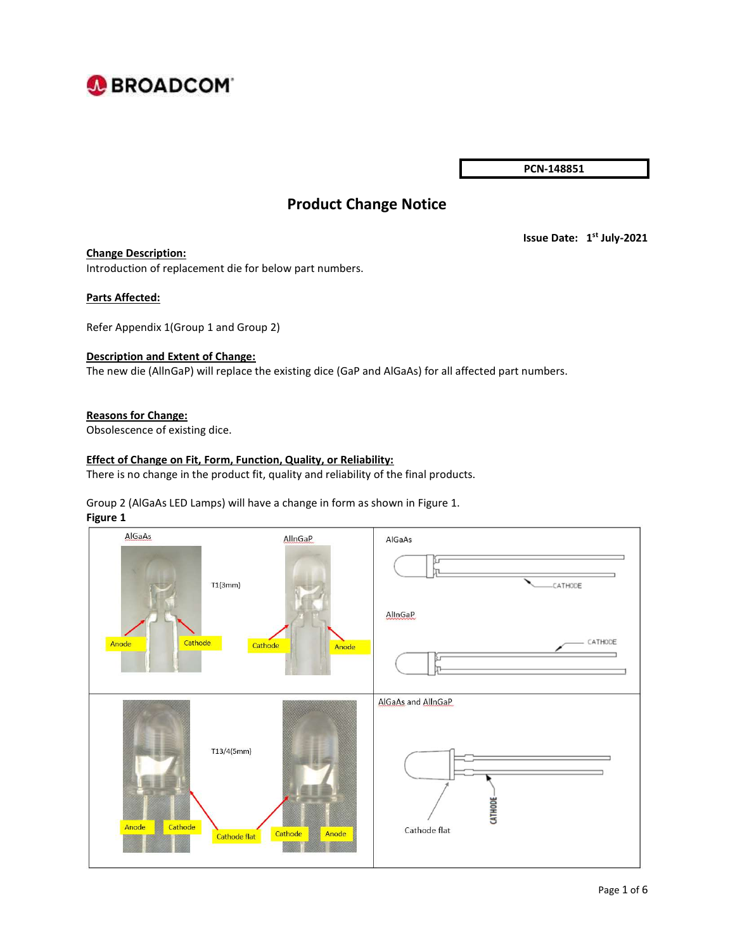

PCN-148851

# Product Change Notice

#### Change Description:

Issue Date: 1<sup>st</sup> July-2021

Introduction of replacement die for below part numbers.

#### Parts Affected:

Refer Appendix 1(Group 1 and Group 2)

### Description and Extent of Change:

The new die (AllnGaP) will replace the existing dice (GaP and AlGaAs) for all affected part numbers.

#### Reasons for Change:

Obsolescence of existing dice.

#### Effect of Change on Fit, Form, Function, Quality, or Reliability:

There is no change in the product fit, quality and reliability of the final products.

## Group 2 (AlGaAs LED Lamps) will have a change in form as shown in Figure 1.

#### Figure 1

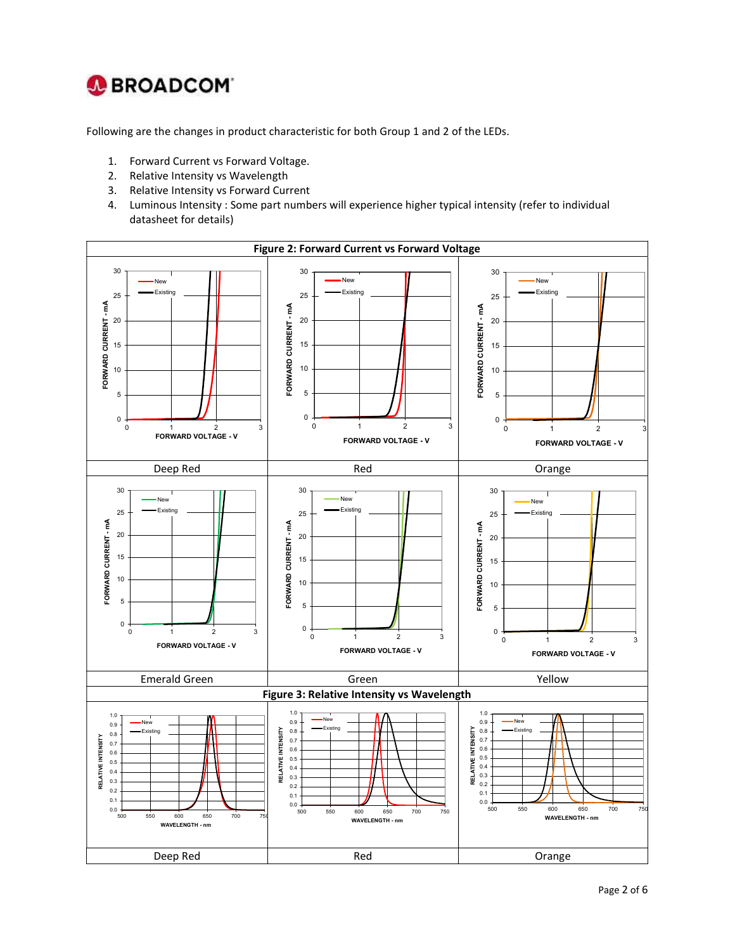

Following are the changes in product characteristic for both Group 1 and 2 of the LEDs.

- 1. Forward Current vs Forward Voltage.
- 2. Relative Intensity vs Wavelength
- 3. Relative Intensity vs Forward Current
- 4. Luminous Intensity : Some part numbers will experience higher typical intensity (refer to individual datasheet for details)

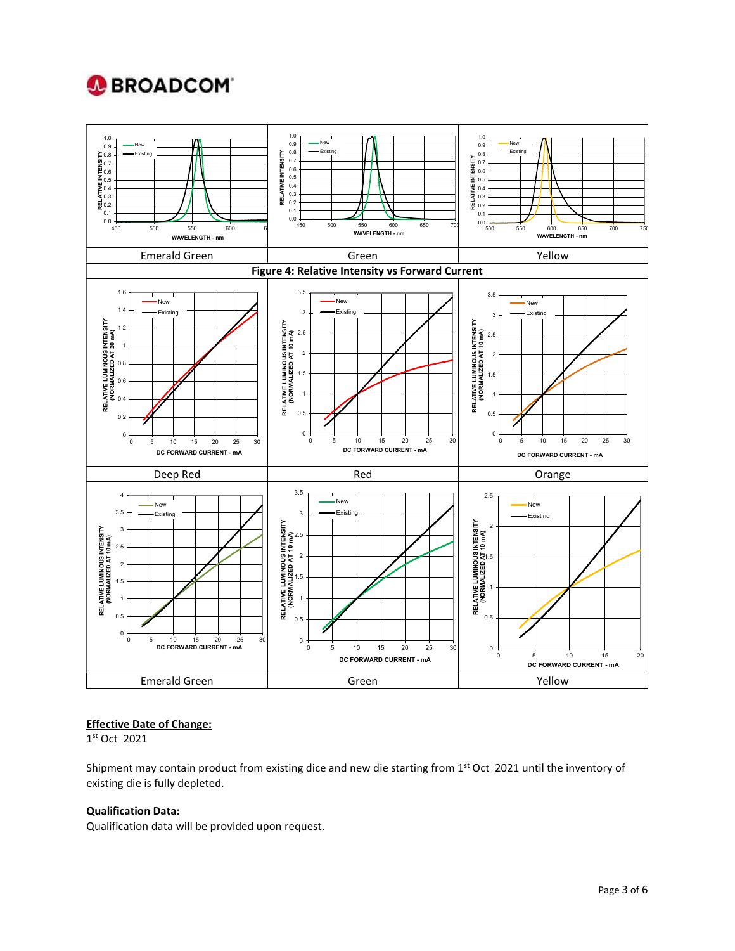

### Effective Date of Change:

1 st Oct 2021

Shipment may contain product from existing dice and new die starting from  $1<sup>st</sup>$  Oct 2021 until the inventory of existing die is fully depleted.

### Qualification Data:

Qualification data will be provided upon request.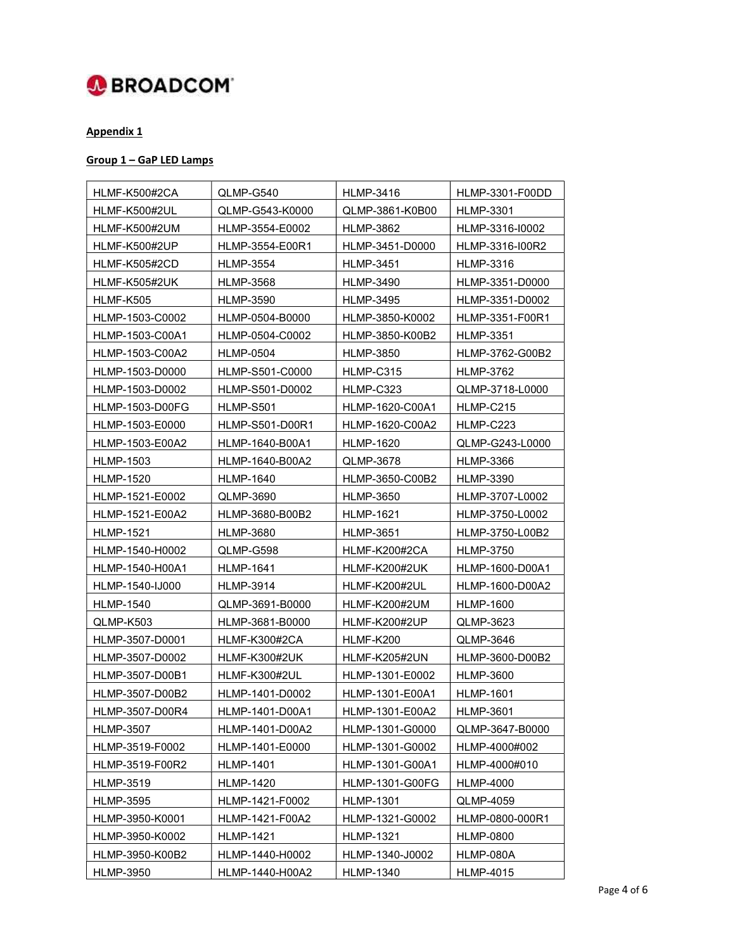

# Appendix 1

## Group 1 – GaP LED Lamps

| HLMF-K500#2CA          | QLMP-G540        | <b>HLMP-3416</b>       | HLMP-3301-F00DD  |
|------------------------|------------------|------------------------|------------------|
| HLMF-K500#2UL          | QLMP-G543-K0000  | QLMP-3861-K0B00        | <b>HLMP-3301</b> |
| HLMF-K500#2UM          | HLMP-3554-E0002  | <b>HLMP-3862</b>       | HLMP-3316-I0002  |
| HLMF-K500#2UP          | HLMP-3554-E00R1  | HLMP-3451-D0000        | HLMP-3316-100R2  |
| HLMF-K505#2CD          | <b>HLMP-3554</b> | <b>HLMP-3451</b>       | <b>HLMP-3316</b> |
| HLMF-K505#2UK          | HLMP-3568        | HLMP-3490              | HLMP-3351-D0000  |
| HLMF-K505              | <b>HLMP-3590</b> | <b>HLMP-3495</b>       | HLMP-3351-D0002  |
| HLMP-1503-C0002        | HLMP-0504-B0000  | HLMP-3850-K0002        | HLMP-3351-F00R1  |
| HLMP-1503-C00A1        | HLMP-0504-C0002  | HLMP-3850-K00B2        | <b>HLMP-3351</b> |
| HLMP-1503-C00A2        | HLMP-0504        | <b>HLMP-3850</b>       | HLMP-3762-G00B2  |
| HLMP-1503-D0000        | HLMP-S501-C0000  | HLMP-C315              | <b>HLMP-3762</b> |
| HLMP-1503-D0002        | HLMP-S501-D0002  | HLMP-C323              | QLMP-3718-L0000  |
| <b>HLMP-1503-D00FG</b> | HLMP-S501        | HLMP-1620-C00A1        | HLMP-C215        |
| HLMP-1503-E0000        | HLMP-S501-D00R1  | HLMP-1620-C00A2        | HLMP-C223        |
| HLMP-1503-E00A2        | HLMP-1640-B00A1  | <b>HLMP-1620</b>       | QLMP-G243-L0000  |
| HLMP-1503              | HLMP-1640-B00A2  | QLMP-3678              | <b>HLMP-3366</b> |
| <b>HLMP-1520</b>       | <b>HLMP-1640</b> | HLMP-3650-C00B2        | <b>HLMP-3390</b> |
| HLMP-1521-E0002        | QLMP-3690        | <b>HLMP-3650</b>       | HLMP-3707-L0002  |
| HLMP-1521-E00A2        | HLMP-3680-B00B2  | <b>HLMP-1621</b>       | HLMP-3750-L0002  |
| HLMP-1521              | HLMP-3680        | HLMP-3651              | HLMP-3750-L00B2  |
| HLMP-1540-H0002        | QLMP-G598        | HLMF-K200#2CA          | <b>HLMP-3750</b> |
| HLMP-1540-H00A1        | HLMP-1641        | HLMF-K200#2UK          | HLMP-1600-D00A1  |
| HLMP-1540-IJ000        | HLMP-3914        | HLMF-K200#2UL          | HLMP-1600-D00A2  |
| HLMP-1540              | QLMP-3691-B0000  | HLMF-K200#2UM          | HLMP-1600        |
| QLMP-K503              | HLMP-3681-B0000  | HLMF-K200#2UP          | QLMP-3623        |
| HLMP-3507-D0001        | HLMF-K300#2CA    | HLMF-K200              | QLMP-3646        |
| HLMP-3507-D0002        | HLMF-K300#2UK    | HLMF-K205#2UN          | HLMP-3600-D00B2  |
| HLMP-3507-D00B1        | HLMF-K300#2UL    | HLMP-1301-E0002        | <b>HLMP-3600</b> |
| HLMP-3507-D00B2        | HLMP-1401-D0002  | HLMP-1301-E00A1        | <b>HLMP-1601</b> |
| HLMP-3507-D00R4        | HLMP-1401-D00A1  | HLMP-1301-E00A2        | <b>HLMP-3601</b> |
| <b>HLMP-3507</b>       | HLMP-1401-D00A2  | HLMP-1301-G0000        | QLMP-3647-B0000  |
| HLMP-3519-F0002        | HLMP-1401-E0000  | HLMP-1301-G0002        | HLMP-4000#002    |
| HLMP-3519-F00R2        | <b>HLMP-1401</b> | HLMP-1301-G00A1        | HLMP-4000#010    |
| <b>HLMP-3519</b>       | <b>HLMP-1420</b> | <b>HLMP-1301-G00FG</b> | <b>HLMP-4000</b> |
| <b>HLMP-3595</b>       | HLMP-1421-F0002  | <b>HLMP-1301</b>       | QLMP-4059        |
| HLMP-3950-K0001        | HLMP-1421-F00A2  | HLMP-1321-G0002        | HLMP-0800-000R1  |
| HLMP-3950-K0002        | <b>HLMP-1421</b> | <b>HLMP-1321</b>       | <b>HLMP-0800</b> |
| HLMP-3950-K00B2        | HLMP-1440-H0002  | HLMP-1340-J0002        | HLMP-080A        |
| <b>HLMP-3950</b>       | HLMP-1440-H00A2  | <b>HLMP-1340</b>       | <b>HLMP-4015</b> |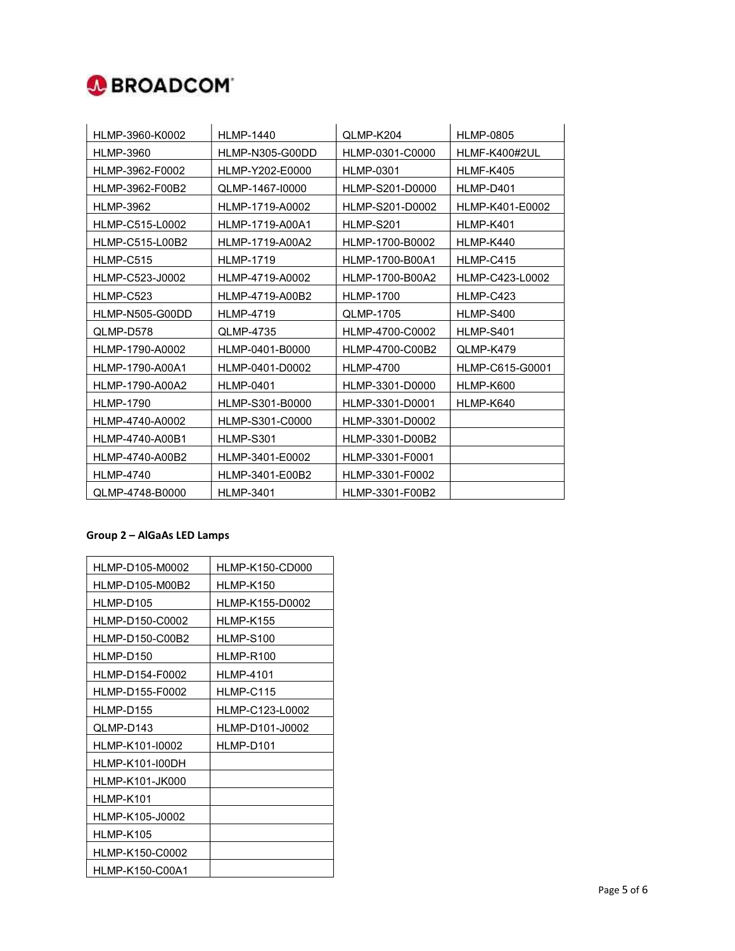

| HLMP-3960-K0002  | <b>HLMP-1440</b> | QLMP-K204        | <b>HLMP-0805</b> |
|------------------|------------------|------------------|------------------|
| <b>HLMP-3960</b> | HLMP-N305-G00DD  | HLMP-0301-C0000  | HLMF-K400#2UL    |
| HLMP-3962-F0002  | HLMP-Y202-E0000  | <b>HLMP-0301</b> | HLMF-K405        |
| HLMP-3962-F00B2  | QLMP-1467-10000  | HLMP-S201-D0000  | HLMP-D401        |
| <b>HLMP-3962</b> | HLMP-1719-A0002  | HLMP-S201-D0002  | HLMP-K401-E0002  |
| HLMP-C515-L0002  | HLMP-1719-A00A1  | HLMP-S201        | HLMP-K401        |
| HLMP-C515-L00B2  | HLMP-1719-A00A2  | HLMP-1700-B0002  | HLMP-K440        |
| HLMP-C515        | <b>HLMP-1719</b> | HLMP-1700-B00A1  | HLMP-C415        |
| HLMP-C523-J0002  | HLMP-4719-A0002  | HLMP-1700-B00A2  | HLMP-C423-L0002  |
| HLMP-C523        | HLMP-4719-A00B2  | <b>HLMP-1700</b> | HLMP-C423        |
| HLMP-N505-G00DD  | <b>HLMP-4719</b> | <b>QLMP-1705</b> | HLMP-S400        |
| QLMP-D578        | QLMP-4735        | HLMP-4700-C0002  | <b>HLMP-S401</b> |
| HLMP-1790-A0002  | HLMP-0401-B0000  | HLMP-4700-C00B2  | QLMP-K479        |
| HLMP-1790-A00A1  | HLMP-0401-D0002  | <b>HLMP-4700</b> | HLMP-C615-G0001  |
| HLMP-1790-A00A2  | <b>HLMP-0401</b> | HLMP-3301-D0000  | HLMP-K600        |
| <b>HLMP-1790</b> | HLMP-S301-B0000  | HLMP-3301-D0001  | HLMP-K640        |
| HLMP-4740-A0002  | HLMP-S301-C0000  | HLMP-3301-D0002  |                  |
| HLMP-4740-A00B1  | HLMP-S301        | HLMP-3301-D00B2  |                  |
| HLMP-4740-A00B2  | HLMP-3401-E0002  | HLMP-3301-F0001  |                  |
| <b>HLMP-4740</b> | HLMP-3401-E00B2  | HLMP-3301-F0002  |                  |
| QLMP-4748-B0000  | <b>HLMP-3401</b> | HLMP-3301-F00B2  |                  |

### Group 2 – AlGaAs LED Lamps

| HLMP-D105-M0002 | HLMP-K150-CD000  |
|-----------------|------------------|
| HLMP-D105-M00B2 | HLMP-K150        |
| HLMP-D105       | HLMP-K155-D0002  |
| HLMP-D150-C0002 | HLMP-K155        |
| HLMP-D150-C00B2 | HLMP-S100        |
| HLMP-D150       | HLMP-R100        |
| HLMP-D154-F0002 | <b>HLMP-4101</b> |
| HLMP-D155-F0002 | HLMP-C115        |
| HLMP-D155       | HLMP-C123-L0002  |
| QLMP-D143       | HLMP-D101-J0002  |
| HLMP-K101-I0002 | HLMP-D101        |
| HLMP-K101-I00DH |                  |
| HLMP-K101-JK000 |                  |
| HLMP-K101       |                  |
| HLMP-K105-J0002 |                  |
| HLMP-K105       |                  |
| HLMP-K150-C0002 |                  |
| HLMP-K150-C00A1 |                  |